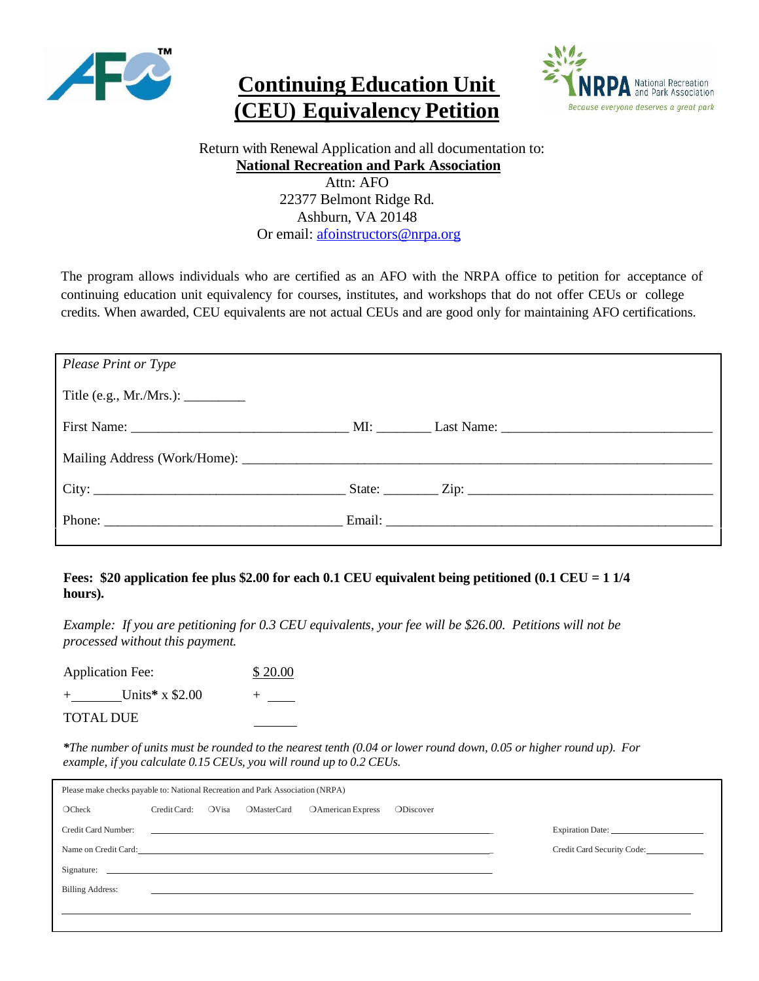

## **Continuing Education Unit (CEU) Equivalency Petition**



 Return with Renewal Application and all documentation to: **National Recreation and Park Association**

Attn: AFO 22377 Belmont Ridge Rd. Ashburn, VA 20148 Or email: [afoinstructors@nrpa.org](mailto:afoinstructors@nrpa.org)

The program allows individuals who are certified as an AFO with the NRPA office to petition for acceptance of continuing education unit equivalency for courses, institutes, and workshops that do not offer CEUs or college credits. When awarded, CEU equivalents are not actual CEUs and are good only for maintaining AFO certifications.

| Please Print or Type                                                   |  |
|------------------------------------------------------------------------|--|
| Title (e.g., Mr./Mrs.): $\_\_\_\_\_\_\_\_\_\_\_\_\_\_\_\_\_\_\_\_\_\_$ |  |
|                                                                        |  |
|                                                                        |  |
|                                                                        |  |
|                                                                        |  |

## **Fees: \$20 application fee plus \$2.00 for each 0.1 CEU equivalent being petitioned (0.1 CEU = 1 1/4 hours).**

*Example: If you are petitioning for 0.3 CEU equivalents, your fee will be \$26.00. Petitions will not be processed without this payment.*

Application Fee: \$20.00 + Units\* x \$2.00

TOTAL DUE

 $*$ The number of units must be rounded to the nearest tenth (0.04 or lower round down, 0.05 or higher round up). For *example, if you calculate 0.15 CEUs, you will round up to 0.2 CEUs.*

| Please make checks payable to: National Recreation and Park Association (NRPA) |              |       |                    |                                                                                                                      |                      |                            |
|--------------------------------------------------------------------------------|--------------|-------|--------------------|----------------------------------------------------------------------------------------------------------------------|----------------------|----------------------------|
| OCheck                                                                         | Credit Card: | OVisa | <b>OMasterCard</b> | OAmerican Express                                                                                                    | ODiscover            |                            |
| Credit Card Number:                                                            |              |       |                    | <u> 1980 - Johann Stoff, fransk konstantin (d. 1980)</u>                                                             |                      |                            |
|                                                                                |              |       |                    |                                                                                                                      | Name on Credit Card: | Credit Card Security Code: |
|                                                                                |              |       |                    |                                                                                                                      |                      |                            |
| <b>Billing Address:</b>                                                        |              |       |                    | <u> 1980 - Jan Samuel Barbara, margaretan basar da shekara 1980 - Andrea Samuel Barbara, mashrida a shekara 1981</u> |                      |                            |
|                                                                                |              |       |                    |                                                                                                                      |                      |                            |
|                                                                                |              |       |                    |                                                                                                                      |                      |                            |